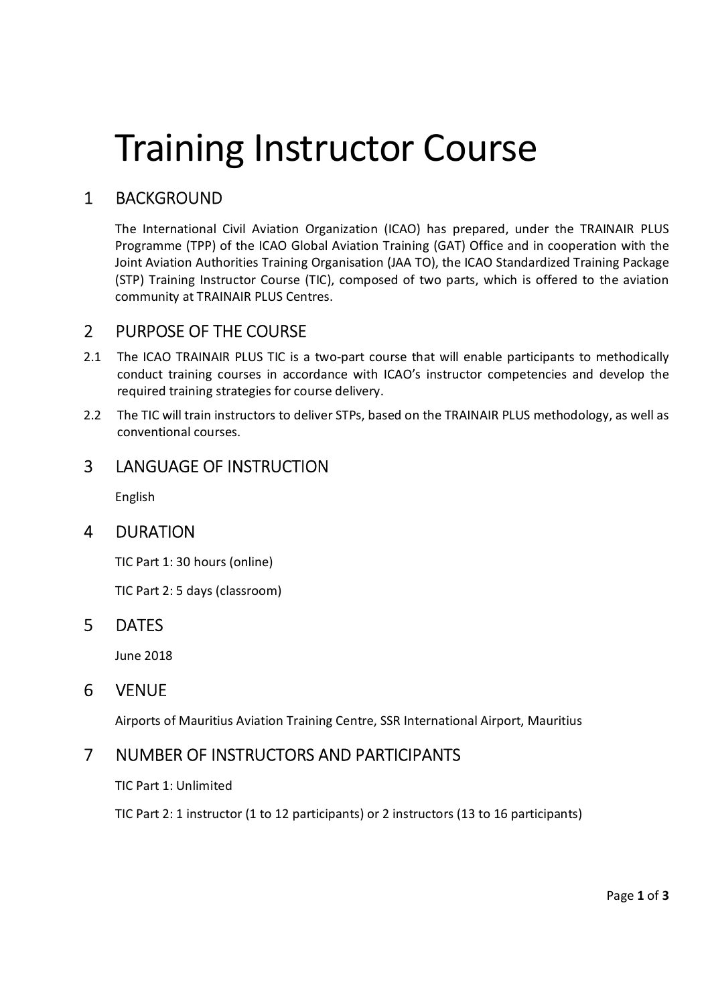# Training Instructor Course

# 1 BACKGROUND

The International Civil Aviation Organization (ICAO) has prepared, under the TRAINAIR PLUS Programme (TPP) of the ICAO Global Aviation Training (GAT) Office and in cooperation with the Joint Aviation Authorities Training Organisation (JAA TO), the ICAO Standardized Training Package (STP) Training Instructor Course (TIC), composed of two parts, which is offered to the aviation community at TRAINAIR PLUS Centres.

#### 2 PURPOSE OF THE COURSE

- 2.1 The ICAO TRAINAIR PLUS TIC is a two-part course that will enable participants to methodically conduct training courses in accordance with ICAO's instructor competencies and develop the required training strategies for course delivery.
- 2.2 The TIC will train instructors to deliver STPs, based on the TRAINAIR PLUS methodology, as well as conventional courses.

#### 3 LANGUAGE OF INSTRUCTION

English

#### 4 DURATION

TIC Part 1: 30 hours (online)

TIC Part 2: 5 days (classroom)

#### 5 DATES

June 2018

#### 6 VENUE

Airports of Mauritius Aviation Training Centre, SSR International Airport, Mauritius

#### 7 NUMBER OF INSTRUCTORS AND PARTICIPANTS

TIC Part 1: Unlimited

TIC Part 2: 1 instructor (1 to 12 participants) or 2 instructors (13 to 16 participants)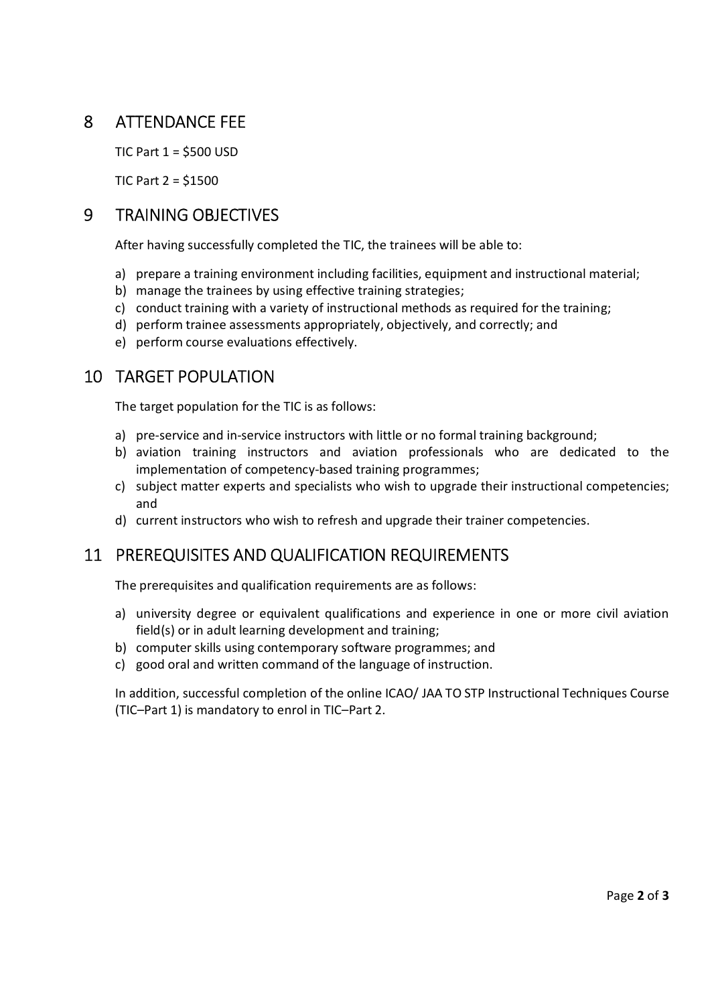## 8 ATTENDANCE FEE

TIC Part 1 = \$500 USD

TIC Part 2 = \$1500

### 9 TRAINING OBJECTIVES

After having successfully completed the TIC, the trainees will be able to:

- a) prepare a training environment including facilities, equipment and instructional material;
- b) manage the trainees by using effective training strategies;
- c) conduct training with a variety of instructional methods as required for the training;
- d) perform trainee assessments appropriately, objectively, and correctly; and
- e) perform course evaluations effectively.

#### 10 TARGET POPULATION

The target population for the TIC is as follows:

- a) pre-service and in-service instructors with little or no formal training background;
- b) aviation training instructors and aviation professionals who are dedicated to the implementation of competency-based training programmes;
- c) subject matter experts and specialists who wish to upgrade their instructional competencies; and
- d) current instructors who wish to refresh and upgrade their trainer competencies.

## 11 PREREQUISITES AND QUALIFICATION REQUIREMENTS

The prerequisites and qualification requirements are as follows:

- a) university degree or equivalent qualifications and experience in one or more civil aviation field(s) or in adult learning development and training;
- b) computer skills using contemporary software programmes; and
- c) good oral and written command of the language of instruction.

In addition, successful completion of the online ICAO/ JAA TO STP Instructional Techniques Course (TIC–Part 1) is mandatory to enrol in TIC–Part 2.